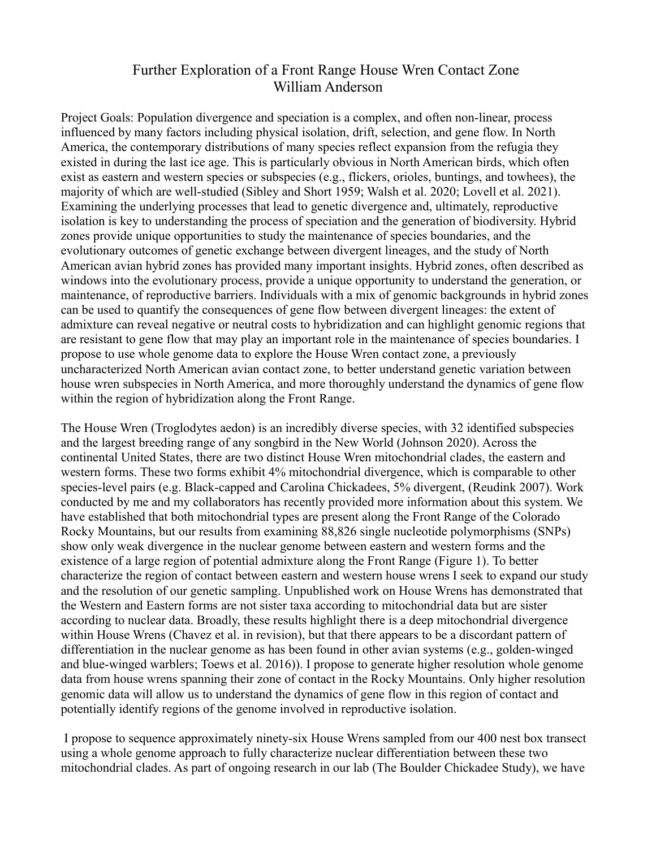## Further Exploration of a Front Range House Wren Contact Zone William Anderson

Project Goals: Population divergence and speciation is a complex, and often non-linear, process influenced by many factors including physical isolation, drift, selection, and gene flow. In North America, the contemporary distributions of many species reflect expansion from the refugia they existed in during the last ice age. This is particularly obvious in North American birds, which often exist as eastern and western species or subspecies (e.g., flickers, orioles, buntings, and towhees), the majority of which are well-studied (Sibley and Short 1959; Walsh et al. 2020; Lovell et al. 2021). Examining the underlying processes that lead to genetic divergence and, ultimately, reproductive isolation is key to understanding the process of speciation and the generation of biodiversity. Hybrid zones provide unique opportunities to study the maintenance of species boundaries, and the evolutionary outcomes of genetic exchange between divergent lineages, and the study of North American avian hybrid zones has provided many important insights. Hybrid zones, often described as windows into the evolutionary process, provide a unique opportunity to understand the generation, or maintenance, of reproductive barriers. Individuals with a mix of genomic backgrounds in hybrid zones can be used to quantify the consequences of gene flow between divergent lineages: the extent of admixture can reveal negative or neutral costs to hybridization and can highlight genomic regions that are resistant to gene flow that may play an important role in the maintenance of species boundaries. I propose to use whole genome data to explore the House Wren contact zone, a previously uncharacterized North American avian contact zone, to better understand genetic variation between house wren subspecies in North America, and more thoroughly understand the dynamics of gene flow within the region of hybridization along the Front Range.

The House Wren (Troglodytes aedon) is an incredibly diverse species, with 32 identified subspecies and the largest breeding range of any songbird in the New World (Johnson 2020). Across the continental United States, there are two distinct House Wren mitochondrial clades, the eastern and western forms. These two forms exhibit 4% mitochondrial divergence, which is comparable to other species-level pairs (e.g. Black-capped and Carolina Chickadees, 5% divergent, (Reudink 2007). Work conducted by me and my collaborators has recently provided more information about this system. We have established that both mitochondrial types are present along the Front Range of the Colorado Rocky Mountains, but our results from examining 88,826 single nucleotide polymorphisms (SNPs) show only weak divergence in the nuclear genome between eastern and western forms and the existence of a large region of potential admixture along the Front Range (Figure 1). To better characterize the region of contact between eastern and western house wrens I seek to expand our study and the resolution of our genetic sampling. Unpublished work on House Wrens has demonstrated that the Western and Eastern forms are not sister taxa according to mitochondrial data but are sister according to nuclear data. Broadly, these results highlight there is a deep mitochondrial divergence within House Wrens (Chavez et al. in revision), but that there appears to be a discordant pattern of differentiation in the nuclear genome as has been found in other avian systems (e.g., golden-winged and blue-winged warblers; Toews et al. 2016)). I propose to generate higher resolution whole genome data from house wrens spanning their zone of contact in the Rocky Mountains. Only higher resolution genomic data will allow us to understand the dynamics of gene flow in this region of contact and potentially identify regions of the genome involved in reproductive isolation.

 I propose to sequence approximately ninety-six House Wrens sampled from our 400 nest box transect using a whole genome approach to fully characterize nuclear differentiation between these two mitochondrial clades. As part of ongoing research in our lab (The Boulder Chickadee Study), we have